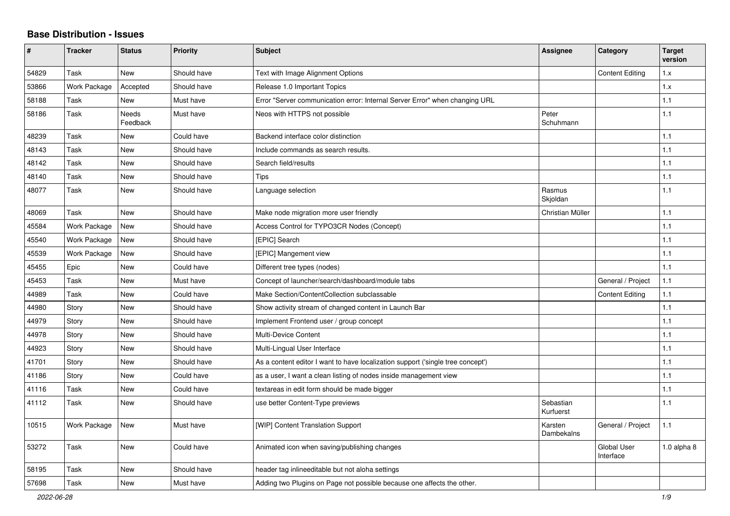## **Base Distribution - Issues**

| #     | <b>Tracker</b> | <b>Status</b>     | <b>Priority</b> | <b>Subject</b>                                                                  | Assignee               | Category                        | <b>Target</b><br>version |
|-------|----------------|-------------------|-----------------|---------------------------------------------------------------------------------|------------------------|---------------------------------|--------------------------|
| 54829 | Task           | <b>New</b>        | Should have     | Text with Image Alignment Options                                               |                        | <b>Content Editing</b>          | 1.x                      |
| 53866 | Work Package   | Accepted          | Should have     | Release 1.0 Important Topics                                                    |                        |                                 | 1.x                      |
| 58188 | Task           | New               | Must have       | Error "Server communication error: Internal Server Error" when changing URL     |                        |                                 | 1.1                      |
| 58186 | Task           | Needs<br>Feedback | Must have       | Neos with HTTPS not possible                                                    | Peter<br>Schuhmann     |                                 | 1.1                      |
| 48239 | Task           | New               | Could have      | Backend interface color distinction                                             |                        |                                 | 1.1                      |
| 48143 | Task           | <b>New</b>        | Should have     | Include commands as search results.                                             |                        |                                 | 1.1                      |
| 48142 | Task           | <b>New</b>        | Should have     | Search field/results                                                            |                        |                                 | 1.1                      |
| 48140 | Task           | New               | Should have     | Tips                                                                            |                        |                                 | 1.1                      |
| 48077 | Task           | New               | Should have     | Language selection                                                              | Rasmus<br>Skjoldan     |                                 | 1.1                      |
| 48069 | Task           | New               | Should have     | Make node migration more user friendly                                          | Christian Müller       |                                 | 1.1                      |
| 45584 | Work Package   | <b>New</b>        | Should have     | Access Control for TYPO3CR Nodes (Concept)                                      |                        |                                 | 1.1                      |
| 45540 | Work Package   | New               | Should have     | [EPIC] Search                                                                   |                        |                                 | 1.1                      |
| 45539 | Work Package   | <b>New</b>        | Should have     | [EPIC] Mangement view                                                           |                        |                                 | 1.1                      |
| 45455 | Epic           | New               | Could have      | Different tree types (nodes)                                                    |                        |                                 | 1.1                      |
| 45453 | Task           | <b>New</b>        | Must have       | Concept of launcher/search/dashboard/module tabs                                |                        | General / Project               | 1.1                      |
| 44989 | Task           | <b>New</b>        | Could have      | Make Section/ContentCollection subclassable                                     |                        | <b>Content Editing</b>          | 1.1                      |
| 44980 | Story          | <b>New</b>        | Should have     | Show activity stream of changed content in Launch Bar                           |                        |                                 | 1.1                      |
| 44979 | Story          | New               | Should have     | Implement Frontend user / group concept                                         |                        |                                 | 1.1                      |
| 44978 | Story          | <b>New</b>        | Should have     | Multi-Device Content                                                            |                        |                                 | 1.1                      |
| 44923 | Story          | <b>New</b>        | Should have     | Multi-Lingual User Interface                                                    |                        |                                 | 1.1                      |
| 41701 | Story          | New               | Should have     | As a content editor I want to have localization support ('single tree concept') |                        |                                 | 1.1                      |
| 41186 | Story          | <b>New</b>        | Could have      | as a user, I want a clean listing of nodes inside management view               |                        |                                 | 1.1                      |
| 41116 | Task           | <b>New</b>        | Could have      | textareas in edit form should be made bigger                                    |                        |                                 | 1.1                      |
| 41112 | Task           | New               | Should have     | use better Content-Type previews                                                | Sebastian<br>Kurfuerst |                                 | 1.1                      |
| 10515 | Work Package   | New               | Must have       | [WIP] Content Translation Support                                               | Karsten<br>Dambekalns  | General / Project               | 1.1                      |
| 53272 | Task           | <b>New</b>        | Could have      | Animated icon when saving/publishing changes                                    |                        | <b>Global User</b><br>Interface | 1.0 alpha $8$            |
| 58195 | Task           | New               | Should have     | header tag inlineeditable but not aloha settings                                |                        |                                 |                          |
| 57698 | Task           | New               | Must have       | Adding two Plugins on Page not possible because one affects the other.          |                        |                                 |                          |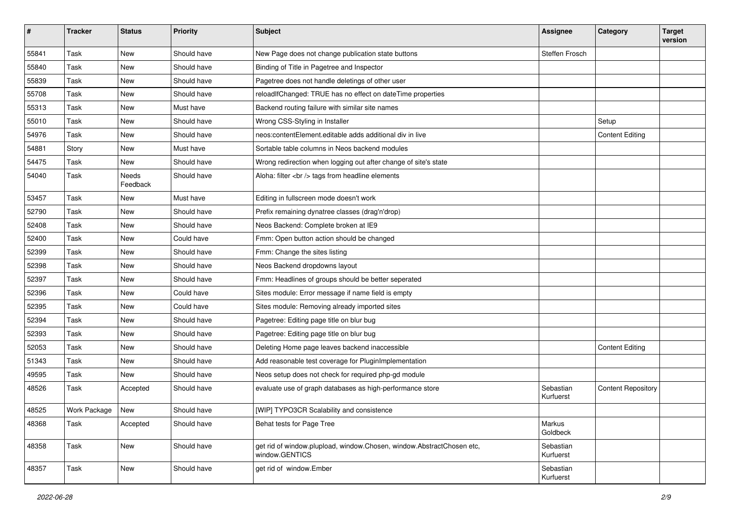| #     | <b>Tracker</b> | <b>Status</b>     | <b>Priority</b> | Subject                                                                                 | <b>Assignee</b>        | Category                  | <b>Target</b><br>version |
|-------|----------------|-------------------|-----------------|-----------------------------------------------------------------------------------------|------------------------|---------------------------|--------------------------|
| 55841 | Task           | <b>New</b>        | Should have     | New Page does not change publication state buttons                                      | Steffen Frosch         |                           |                          |
| 55840 | Task           | New               | Should have     | Binding of Title in Pagetree and Inspector                                              |                        |                           |                          |
| 55839 | Task           | <b>New</b>        | Should have     | Pagetree does not handle deletings of other user                                        |                        |                           |                          |
| 55708 | Task           | <b>New</b>        | Should have     | reloadIfChanged: TRUE has no effect on dateTime properties                              |                        |                           |                          |
| 55313 | Task           | <b>New</b>        | Must have       | Backend routing failure with similar site names                                         |                        |                           |                          |
| 55010 | Task           | <b>New</b>        | Should have     | Wrong CSS-Styling in Installer                                                          |                        | Setup                     |                          |
| 54976 | Task           | New               | Should have     | neos: contentElement.editable adds additional div in live                               |                        | <b>Content Editing</b>    |                          |
| 54881 | Story          | <b>New</b>        | Must have       | Sortable table columns in Neos backend modules                                          |                        |                           |                          |
| 54475 | Task           | New               | Should have     | Wrong redirection when logging out after change of site's state                         |                        |                           |                          |
| 54040 | Task           | Needs<br>Feedback | Should have     | Aloha: filter<br>tags from headline elements                                            |                        |                           |                          |
| 53457 | Task           | New               | Must have       | Editing in fullscreen mode doesn't work                                                 |                        |                           |                          |
| 52790 | Task           | <b>New</b>        | Should have     | Prefix remaining dynatree classes (drag'n'drop)                                         |                        |                           |                          |
| 52408 | Task           | <b>New</b>        | Should have     | Neos Backend: Complete broken at IE9                                                    |                        |                           |                          |
| 52400 | Task           | New               | Could have      | Fmm: Open button action should be changed                                               |                        |                           |                          |
| 52399 | Task           | <b>New</b>        | Should have     | Fmm: Change the sites listing                                                           |                        |                           |                          |
| 52398 | Task           | <b>New</b>        | Should have     | Neos Backend dropdowns layout                                                           |                        |                           |                          |
| 52397 | Task           | <b>New</b>        | Should have     | Fmm: Headlines of groups should be better seperated                                     |                        |                           |                          |
| 52396 | Task           | <b>New</b>        | Could have      | Sites module: Error message if name field is empty                                      |                        |                           |                          |
| 52395 | Task           | <b>New</b>        | Could have      | Sites module: Removing already imported sites                                           |                        |                           |                          |
| 52394 | Task           | New               | Should have     | Pagetree: Editing page title on blur bug                                                |                        |                           |                          |
| 52393 | Task           | <b>New</b>        | Should have     | Pagetree: Editing page title on blur bug                                                |                        |                           |                          |
| 52053 | Task           | <b>New</b>        | Should have     | Deleting Home page leaves backend inaccessible                                          |                        | <b>Content Editing</b>    |                          |
| 51343 | Task           | New               | Should have     | Add reasonable test coverage for PluginImplementation                                   |                        |                           |                          |
| 49595 | Task           | New               | Should have     | Neos setup does not check for required php-gd module                                    |                        |                           |                          |
| 48526 | Task           | Accepted          | Should have     | evaluate use of graph databases as high-performance store                               | Sebastian<br>Kurfuerst | <b>Content Repository</b> |                          |
| 48525 | Work Package   | New               | Should have     | [WIP] TYPO3CR Scalability and consistence                                               |                        |                           |                          |
| 48368 | Task           | Accepted          | Should have     | Behat tests for Page Tree                                                               | Markus<br>Goldbeck     |                           |                          |
| 48358 | Task           | New               | Should have     | get rid of window.plupload, window.Chosen, window.AbstractChosen etc,<br>window.GENTICS | Sebastian<br>Kurfuerst |                           |                          |
| 48357 | Task           | New               | Should have     | get rid of window.Ember                                                                 | Sebastian<br>Kurfuerst |                           |                          |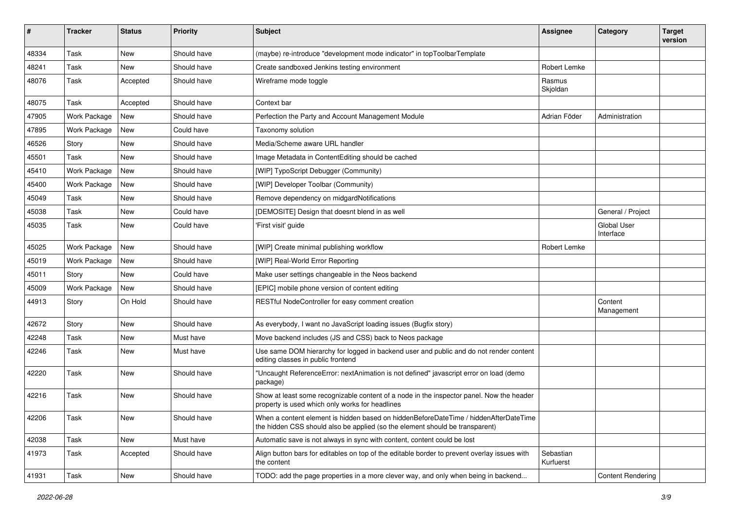| #     | <b>Tracker</b> | <b>Status</b> | <b>Priority</b> | Subject                                                                                                                                                              | <b>Assignee</b>        | Category                        | <b>Target</b><br>version |
|-------|----------------|---------------|-----------------|----------------------------------------------------------------------------------------------------------------------------------------------------------------------|------------------------|---------------------------------|--------------------------|
| 48334 | Task           | <b>New</b>    | Should have     | (maybe) re-introduce "development mode indicator" in topToolbarTemplate                                                                                              |                        |                                 |                          |
| 48241 | Task           | <b>New</b>    | Should have     | Create sandboxed Jenkins testing environment                                                                                                                         | Robert Lemke           |                                 |                          |
| 48076 | Task           | Accepted      | Should have     | Wireframe mode toggle                                                                                                                                                | Rasmus<br>Skjoldan     |                                 |                          |
| 48075 | Task           | Accepted      | Should have     | Context bar                                                                                                                                                          |                        |                                 |                          |
| 47905 | Work Package   | <b>New</b>    | Should have     | Perfection the Party and Account Management Module                                                                                                                   | Adrian Föder           | Administration                  |                          |
| 47895 | Work Package   | New           | Could have      | Taxonomy solution                                                                                                                                                    |                        |                                 |                          |
| 46526 | Story          | <b>New</b>    | Should have     | Media/Scheme aware URL handler                                                                                                                                       |                        |                                 |                          |
| 45501 | Task           | <b>New</b>    | Should have     | Image Metadata in ContentEditing should be cached                                                                                                                    |                        |                                 |                          |
| 45410 | Work Package   | <b>New</b>    | Should have     | [WIP] TypoScript Debugger (Community)                                                                                                                                |                        |                                 |                          |
| 45400 | Work Package   | <b>New</b>    | Should have     | [WIP] Developer Toolbar (Community)                                                                                                                                  |                        |                                 |                          |
| 45049 | Task           | <b>New</b>    | Should have     | Remove dependency on midgardNotifications                                                                                                                            |                        |                                 |                          |
| 45038 | Task           | <b>New</b>    | Could have      | [DEMOSITE] Design that doesnt blend in as well                                                                                                                       |                        | General / Project               |                          |
| 45035 | Task           | <b>New</b>    | Could have      | 'First visit' guide                                                                                                                                                  |                        | <b>Global User</b><br>Interface |                          |
| 45025 | Work Package   | <b>New</b>    | Should have     | [WIP] Create minimal publishing workflow                                                                                                                             | Robert Lemke           |                                 |                          |
| 45019 | Work Package   | New           | Should have     | [WIP] Real-World Error Reporting                                                                                                                                     |                        |                                 |                          |
| 45011 | Story          | <b>New</b>    | Could have      | Make user settings changeable in the Neos backend                                                                                                                    |                        |                                 |                          |
| 45009 | Work Package   | <b>New</b>    | Should have     | [EPIC] mobile phone version of content editing                                                                                                                       |                        |                                 |                          |
| 44913 | Story          | On Hold       | Should have     | RESTful NodeController for easy comment creation                                                                                                                     |                        | Content<br>Management           |                          |
| 42672 | Story          | <b>New</b>    | Should have     | As everybody, I want no JavaScript loading issues (Bugfix story)                                                                                                     |                        |                                 |                          |
| 42248 | Task           | New           | Must have       | Move backend includes (JS and CSS) back to Neos package                                                                                                              |                        |                                 |                          |
| 42246 | Task           | New           | Must have       | Use same DOM hierarchy for logged in backend user and public and do not render content<br>editing classes in public frontend                                         |                        |                                 |                          |
| 42220 | Task           | New           | Should have     | "Uncaught ReferenceError: nextAnimation is not defined" javascript error on load (demo<br>package)                                                                   |                        |                                 |                          |
| 42216 | Task           | New           | Should have     | Show at least some recognizable content of a node in the inspector panel. Now the header<br>property is used which only works for headlines                          |                        |                                 |                          |
| 42206 | Task           | New           | Should have     | When a content element is hidden based on hiddenBeforeDateTime / hiddenAfterDateTime<br>the hidden CSS should also be applied (so the element should be transparent) |                        |                                 |                          |
| 42038 | Task           | <b>New</b>    | Must have       | Automatic save is not always in sync with content, content could be lost                                                                                             |                        |                                 |                          |
| 41973 | Task           | Accepted      | Should have     | Align button bars for editables on top of the editable border to prevent overlay issues with<br>the content                                                          | Sebastian<br>Kurfuerst |                                 |                          |
| 41931 | Task           | New           | Should have     | TODO: add the page properties in a more clever way, and only when being in backend                                                                                   |                        | <b>Content Rendering</b>        |                          |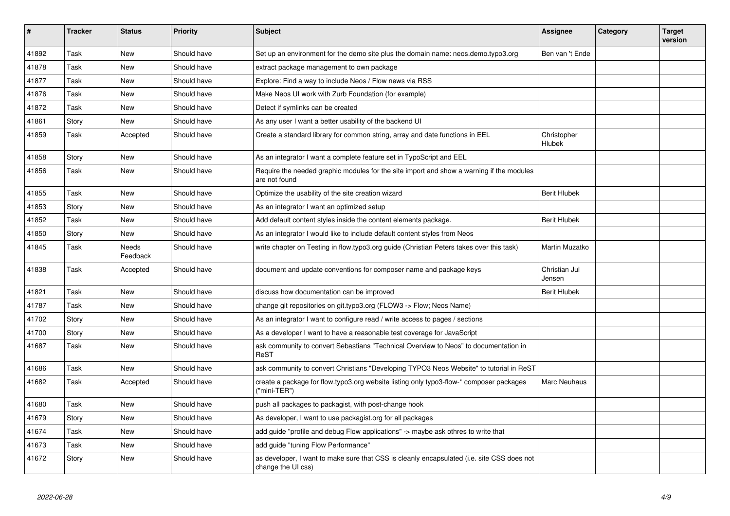| #     | <b>Tracker</b> | <b>Status</b>     | <b>Priority</b> | <b>Subject</b>                                                                                                   | <b>Assignee</b>         | Category | <b>Target</b><br>version |
|-------|----------------|-------------------|-----------------|------------------------------------------------------------------------------------------------------------------|-------------------------|----------|--------------------------|
| 41892 | Task           | <b>New</b>        | Should have     | Set up an environment for the demo site plus the domain name: neos.demo.typo3.org                                | Ben van 't Ende         |          |                          |
| 41878 | Task           | New               | Should have     | extract package management to own package                                                                        |                         |          |                          |
| 41877 | Task           | <b>New</b>        | Should have     | Explore: Find a way to include Neos / Flow news via RSS                                                          |                         |          |                          |
| 41876 | Task           | <b>New</b>        | Should have     | Make Neos UI work with Zurb Foundation (for example)                                                             |                         |          |                          |
| 41872 | Task           | <b>New</b>        | Should have     | Detect if symlinks can be created                                                                                |                         |          |                          |
| 41861 | Story          | New               | Should have     | As any user I want a better usability of the backend UI                                                          |                         |          |                          |
| 41859 | Task           | Accepted          | Should have     | Create a standard library for common string, array and date functions in EEL                                     | Christopher<br>Hlubek   |          |                          |
| 41858 | Story          | <b>New</b>        | Should have     | As an integrator I want a complete feature set in TypoScript and EEL                                             |                         |          |                          |
| 41856 | Task           | <b>New</b>        | Should have     | Require the needed graphic modules for the site import and show a warning if the modules<br>are not found        |                         |          |                          |
| 41855 | Task           | <b>New</b>        | Should have     | Optimize the usability of the site creation wizard                                                               | <b>Berit Hlubek</b>     |          |                          |
| 41853 | Story          | <b>New</b>        | Should have     | As an integrator I want an optimized setup                                                                       |                         |          |                          |
| 41852 | Task           | <b>New</b>        | Should have     | Add default content styles inside the content elements package.                                                  | <b>Berit Hlubek</b>     |          |                          |
| 41850 | Story          | <b>New</b>        | Should have     | As an integrator I would like to include default content styles from Neos                                        |                         |          |                          |
| 41845 | Task           | Needs<br>Feedback | Should have     | write chapter on Testing in flow.typo3.org guide (Christian Peters takes over this task)                         | Martin Muzatko          |          |                          |
| 41838 | Task           | Accepted          | Should have     | document and update conventions for composer name and package keys                                               | Christian Jul<br>Jensen |          |                          |
| 41821 | Task           | New               | Should have     | discuss how documentation can be improved                                                                        | <b>Berit Hlubek</b>     |          |                          |
| 41787 | Task           | New               | Should have     | change git repositories on git typo3.org (FLOW3 -> Flow; Neos Name)                                              |                         |          |                          |
| 41702 | Story          | <b>New</b>        | Should have     | As an integrator I want to configure read / write access to pages / sections                                     |                         |          |                          |
| 41700 | Story          | New               | Should have     | As a developer I want to have a reasonable test coverage for JavaScript                                          |                         |          |                          |
| 41687 | Task           | <b>New</b>        | Should have     | ask community to convert Sebastians "Technical Overview to Neos" to documentation in<br>ReST                     |                         |          |                          |
| 41686 | Task           | New               | Should have     | ask community to convert Christians "Developing TYPO3 Neos Website" to tutorial in ReST                          |                         |          |                          |
| 41682 | Task           | Accepted          | Should have     | create a package for flow.typo3.org website listing only typo3-flow-* composer packages<br>("mini-TER")          | Marc Neuhaus            |          |                          |
| 41680 | Task           | <b>New</b>        | Should have     | push all packages to packagist, with post-change hook                                                            |                         |          |                          |
| 41679 | Story          | <b>New</b>        | Should have     | As developer, I want to use packagist.org for all packages                                                       |                         |          |                          |
| 41674 | Task           | <b>New</b>        | Should have     | add guide "profile and debug Flow applications" -> maybe ask othres to write that                                |                         |          |                          |
| 41673 | Task           | New               | Should have     | add guide "tuning Flow Performance"                                                                              |                         |          |                          |
| 41672 | Story          | New               | Should have     | as developer, I want to make sure that CSS is cleanly encapsulated (i.e. site CSS does not<br>change the UI css) |                         |          |                          |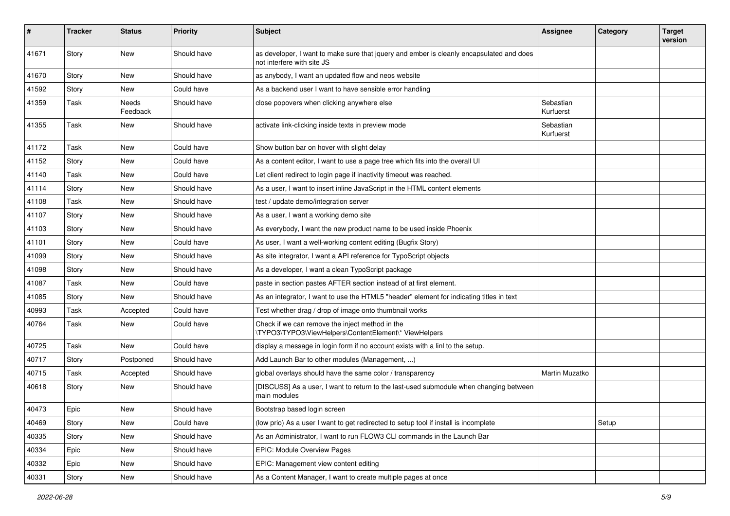| #     | <b>Tracker</b> | <b>Status</b>     | <b>Priority</b> | Subject                                                                                                                | <b>Assignee</b>        | Category | <b>Target</b><br>version |
|-------|----------------|-------------------|-----------------|------------------------------------------------------------------------------------------------------------------------|------------------------|----------|--------------------------|
| 41671 | Story          | New               | Should have     | as developer, I want to make sure that jquery and ember is cleanly encapsulated and does<br>not interfere with site JS |                        |          |                          |
| 41670 | Story          | New               | Should have     | as anybody, I want an updated flow and neos website                                                                    |                        |          |                          |
| 41592 | Story          | <b>New</b>        | Could have      | As a backend user I want to have sensible error handling                                                               |                        |          |                          |
| 41359 | Task           | Needs<br>Feedback | Should have     | close popovers when clicking anywhere else                                                                             | Sebastian<br>Kurfuerst |          |                          |
| 41355 | Task           | New               | Should have     | activate link-clicking inside texts in preview mode                                                                    | Sebastian<br>Kurfuerst |          |                          |
| 41172 | Task           | New               | Could have      | Show button bar on hover with slight delay                                                                             |                        |          |                          |
| 41152 | Story          | <b>New</b>        | Could have      | As a content editor, I want to use a page tree which fits into the overall UI                                          |                        |          |                          |
| 41140 | Task           | New               | Could have      | Let client redirect to login page if inactivity timeout was reached.                                                   |                        |          |                          |
| 41114 | Story          | <b>New</b>        | Should have     | As a user, I want to insert inline JavaScript in the HTML content elements                                             |                        |          |                          |
| 41108 | Task           | <b>New</b>        | Should have     | test / update demo/integration server                                                                                  |                        |          |                          |
| 41107 | Story          | <b>New</b>        | Should have     | As a user, I want a working demo site                                                                                  |                        |          |                          |
| 41103 | Story          | New               | Should have     | As everybody, I want the new product name to be used inside Phoenix                                                    |                        |          |                          |
| 41101 | Story          | New               | Could have      | As user, I want a well-working content editing (Bugfix Story)                                                          |                        |          |                          |
| 41099 | Story          | New               | Should have     | As site integrator, I want a API reference for TypoScript objects                                                      |                        |          |                          |
| 41098 | Story          | New               | Should have     | As a developer, I want a clean TypoScript package                                                                      |                        |          |                          |
| 41087 | Task           | <b>New</b>        | Could have      | paste in section pastes AFTER section instead of at first element.                                                     |                        |          |                          |
| 41085 | Story          | New               | Should have     | As an integrator, I want to use the HTML5 "header" element for indicating titles in text                               |                        |          |                          |
| 40993 | Task           | Accepted          | Could have      | Test whether drag / drop of image onto thumbnail works                                                                 |                        |          |                          |
| 40764 | Task           | New               | Could have      | Check if we can remove the inject method in the<br>\TYPO3\TYPO3\ViewHelpers\ContentElement\* ViewHelpers               |                        |          |                          |
| 40725 | Task           | New               | Could have      | display a message in login form if no account exists with a linl to the setup.                                         |                        |          |                          |
| 40717 | Story          | Postponed         | Should have     | Add Launch Bar to other modules (Management, )                                                                         |                        |          |                          |
| 40715 | Task           | Accepted          | Should have     | global overlays should have the same color / transparency                                                              | Martin Muzatko         |          |                          |
| 40618 | Story          | <b>New</b>        | Should have     | [DISCUSS] As a user, I want to return to the last-used submodule when changing between<br>main modules                 |                        |          |                          |
| 40473 | Epic           | New               | Should have     | Bootstrap based login screen                                                                                           |                        |          |                          |
| 40469 | Story          | New               | Could have      | (low prio) As a user I want to get redirected to setup tool if install is incomplete                                   |                        | Setup    |                          |
| 40335 | Story          | New               | Should have     | As an Administrator, I want to run FLOW3 CLI commands in the Launch Bar                                                |                        |          |                          |
| 40334 | Epic           | New               | Should have     | EPIC: Module Overview Pages                                                                                            |                        |          |                          |
| 40332 | Epic           | New               | Should have     | EPIC: Management view content editing                                                                                  |                        |          |                          |
| 40331 | Story          | New               | Should have     | As a Content Manager, I want to create multiple pages at once                                                          |                        |          |                          |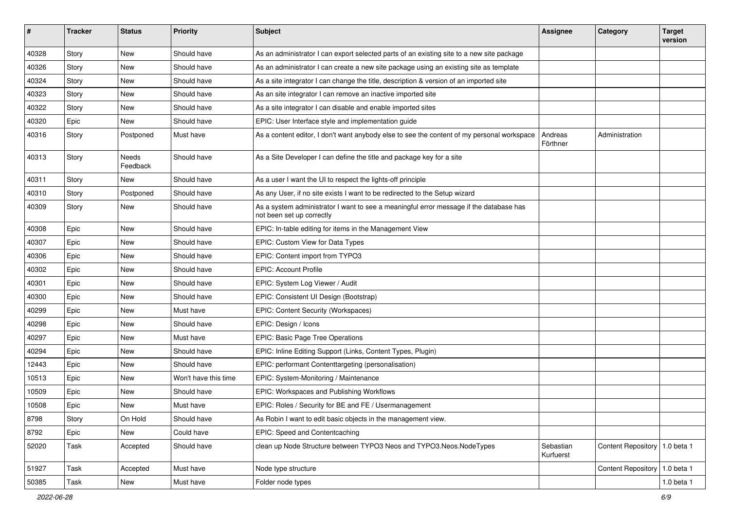| ∦     | <b>Tracker</b> | <b>Status</b>            | <b>Priority</b>      | Subject                                                                                                             | <b>Assignee</b>        | Category                        | <b>Target</b><br>version |
|-------|----------------|--------------------------|----------------------|---------------------------------------------------------------------------------------------------------------------|------------------------|---------------------------------|--------------------------|
| 40328 | Story          | <b>New</b>               | Should have          | As an administrator I can export selected parts of an existing site to a new site package                           |                        |                                 |                          |
| 40326 | Story          | New                      | Should have          | As an administrator I can create a new site package using an existing site as template                              |                        |                                 |                          |
| 40324 | Story          | New                      | Should have          | As a site integrator I can change the title, description & version of an imported site                              |                        |                                 |                          |
| 40323 | Story          | New                      | Should have          | As an site integrator I can remove an inactive imported site                                                        |                        |                                 |                          |
| 40322 | Story          | New                      | Should have          | As a site integrator I can disable and enable imported sites                                                        |                        |                                 |                          |
| 40320 | Epic           | <b>New</b>               | Should have          | EPIC: User Interface style and implementation guide                                                                 |                        |                                 |                          |
| 40316 | Story          | Postponed                | Must have            | As a content editor, I don't want anybody else to see the content of my personal workspace                          | Andreas<br>Förthner    | Administration                  |                          |
| 40313 | Story          | <b>Needs</b><br>Feedback | Should have          | As a Site Developer I can define the title and package key for a site                                               |                        |                                 |                          |
| 40311 | Story          | New                      | Should have          | As a user I want the UI to respect the lights-off principle                                                         |                        |                                 |                          |
| 40310 | Story          | Postponed                | Should have          | As any User, if no site exists I want to be redirected to the Setup wizard                                          |                        |                                 |                          |
| 40309 | Story          | New                      | Should have          | As a system administrator I want to see a meaningful error message if the database has<br>not been set up correctly |                        |                                 |                          |
| 40308 | Epic           | New                      | Should have          | EPIC: In-table editing for items in the Management View                                                             |                        |                                 |                          |
| 40307 | Epic           | <b>New</b>               | Should have          | EPIC: Custom View for Data Types                                                                                    |                        |                                 |                          |
| 40306 | Epic           | <b>New</b>               | Should have          | EPIC: Content import from TYPO3                                                                                     |                        |                                 |                          |
| 40302 | Epic           | New                      | Should have          | <b>EPIC: Account Profile</b>                                                                                        |                        |                                 |                          |
| 40301 | Epic           | New                      | Should have          | EPIC: System Log Viewer / Audit                                                                                     |                        |                                 |                          |
| 40300 | Epic           | New                      | Should have          | EPIC: Consistent UI Design (Bootstrap)                                                                              |                        |                                 |                          |
| 40299 | Epic           | New                      | Must have            | EPIC: Content Security (Workspaces)                                                                                 |                        |                                 |                          |
| 40298 | Epic           | <b>New</b>               | Should have          | EPIC: Design / Icons                                                                                                |                        |                                 |                          |
| 40297 | Epic           | <b>New</b>               | Must have            | EPIC: Basic Page Tree Operations                                                                                    |                        |                                 |                          |
| 40294 | Epic           | New                      | Should have          | EPIC: Inline Editing Support (Links, Content Types, Plugin)                                                         |                        |                                 |                          |
| 12443 | Epic           | New                      | Should have          | EPIC: performant Contenttargeting (personalisation)                                                                 |                        |                                 |                          |
| 10513 | Epic           | New                      | Won't have this time | EPIC: System-Monitoring / Maintenance                                                                               |                        |                                 |                          |
| 10509 | Epic           | New                      | Should have          | EPIC: Workspaces and Publishing Workflows                                                                           |                        |                                 |                          |
| 10508 | Epic           | New                      | Must have            | EPIC: Roles / Security for BE and FE / Usermanagement                                                               |                        |                                 |                          |
| 8798  | Story          | On Hold                  | Should have          | As Robin I want to edit basic objects in the management view.                                                       |                        |                                 |                          |
| 8792  | Epic           | New                      | Could have           | EPIC: Speed and Contentcaching                                                                                      |                        |                                 |                          |
| 52020 | Task           | Accepted                 | Should have          | clean up Node Structure between TYPO3 Neos and TYPO3.Neos.NodeTypes                                                 | Sebastian<br>Kurfuerst | Content Repository   1.0 beta 1 |                          |
| 51927 | Task           | Accepted                 | Must have            | Node type structure                                                                                                 |                        | Content Repository   1.0 beta 1 |                          |
| 50385 | Task           | New                      | Must have            | Folder node types                                                                                                   |                        |                                 | 1.0 beta 1               |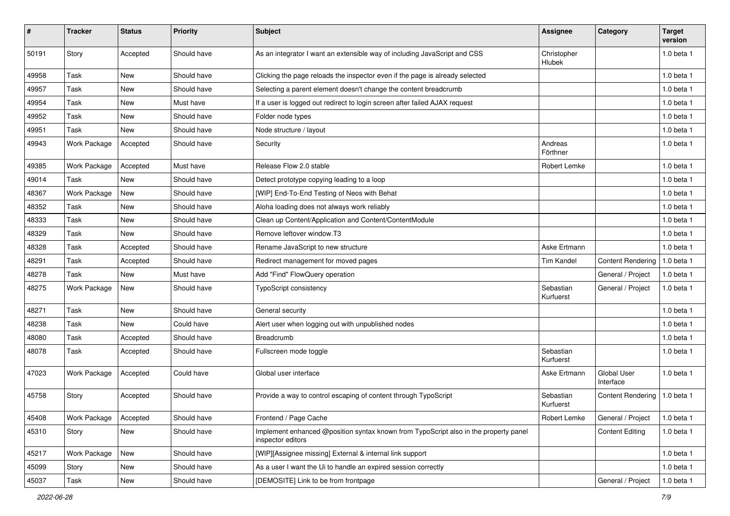| ∦     | <b>Tracker</b> | <b>Status</b> | <b>Priority</b> | <b>Subject</b>                                                                                            | Assignee               | Category                 | <b>Target</b><br>version |
|-------|----------------|---------------|-----------------|-----------------------------------------------------------------------------------------------------------|------------------------|--------------------------|--------------------------|
| 50191 | Story          | Accepted      | Should have     | As an integrator I want an extensible way of including JavaScript and CSS                                 | Christopher<br>Hlubek  |                          | 1.0 beta 1               |
| 49958 | Task           | <b>New</b>    | Should have     | Clicking the page reloads the inspector even if the page is already selected                              |                        |                          | 1.0 beta 1               |
| 49957 | Task           | <b>New</b>    | Should have     | Selecting a parent element doesn't change the content breadcrumb                                          |                        |                          | 1.0 beta 1               |
| 49954 | Task           | New           | Must have       | If a user is logged out redirect to login screen after failed AJAX request                                |                        |                          | $1.0$ beta $1$           |
| 49952 | Task           | <b>New</b>    | Should have     | Folder node types                                                                                         |                        |                          | $1.0$ beta $1$           |
| 49951 | Task           | <b>New</b>    | Should have     | Node structure / layout                                                                                   |                        |                          | $1.0$ beta $1$           |
| 49943 | Work Package   | Accepted      | Should have     | Security                                                                                                  | Andreas<br>Förthner    |                          | $1.0$ beta $1$           |
| 49385 | Work Package   | Accepted      | Must have       | Release Flow 2.0 stable                                                                                   | Robert Lemke           |                          | $1.0$ beta $1$           |
| 49014 | Task           | <b>New</b>    | Should have     | Detect prototype copying leading to a loop                                                                |                        |                          | $1.0$ beta $1$           |
| 48367 | Work Package   | <b>New</b>    | Should have     | [WIP] End-To-End Testing of Neos with Behat                                                               |                        |                          | $1.0$ beta $1$           |
| 48352 | Task           | New           | Should have     | Aloha loading does not always work reliably                                                               |                        |                          | 1.0 beta 1               |
| 48333 | Task           | <b>New</b>    | Should have     | Clean up Content/Application and Content/ContentModule                                                    |                        |                          | $1.0$ beta $1$           |
| 48329 | Task           | New           | Should have     | Remove leftover window.T3                                                                                 |                        |                          | 1.0 beta 1               |
| 48328 | Task           | Accepted      | Should have     | Rename JavaScript to new structure                                                                        | Aske Ertmann           |                          | $1.0$ beta $1$           |
| 48291 | Task           | Accepted      | Should have     | Redirect management for moved pages                                                                       | <b>Tim Kandel</b>      | <b>Content Rendering</b> | 1.0 beta 1               |
| 48278 | Task           | <b>New</b>    | Must have       | Add "Find" FlowQuery operation                                                                            |                        | General / Project        | $1.0$ beta $1$           |
| 48275 | Work Package   | New           | Should have     | TypoScript consistency                                                                                    | Sebastian<br>Kurfuerst | General / Project        | $1.0$ beta $1$           |
| 48271 | Task           | New           | Should have     | General security                                                                                          |                        |                          | 1.0 beta 1               |
| 48238 | Task           | <b>New</b>    | Could have      | Alert user when logging out with unpublished nodes                                                        |                        |                          | 1.0 beta 1               |
| 48080 | Task           | Accepted      | Should have     | Breadcrumb                                                                                                |                        |                          | 1.0 beta 1               |
| 48078 | Task           | Accepted      | Should have     | Fullscreen mode toggle                                                                                    | Sebastian<br>Kurfuerst |                          | $1.0$ beta $1$           |
| 47023 | Work Package   | Accepted      | Could have      | Global user interface                                                                                     | Aske Ertmann           | Global User<br>Interface | $1.0$ beta $1$           |
| 45758 | Story          | Accepted      | Should have     | Provide a way to control escaping of content through TypoScript                                           | Sebastian<br>Kurfuerst | <b>Content Rendering</b> | 1.0 beta 1               |
| 45408 | Work Package   | Accepted      | Should have     | Frontend / Page Cache                                                                                     | Robert Lemke           | General / Project        | 1.0 beta 1               |
| 45310 | Story          | New           | Should have     | Implement enhanced @position syntax known from TypoScript also in the property panel<br>inspector editors |                        | <b>Content Editing</b>   | 1.0 beta 1               |
| 45217 | Work Package   | New           | Should have     | [WIP][Assignee missing] External & internal link support                                                  |                        |                          | 1.0 beta 1               |
| 45099 | Story          | New           | Should have     | As a user I want the Ui to handle an expired session correctly                                            |                        |                          | 1.0 beta 1               |
| 45037 | Task           | New           | Should have     | [DEMOSITE] Link to be from frontpage                                                                      |                        | General / Project        | 1.0 beta 1               |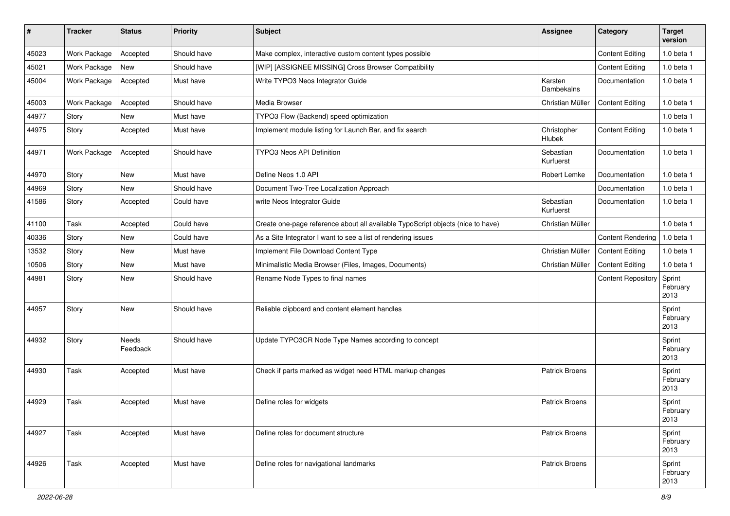| ∦     | <b>Tracker</b> | <b>Status</b>     | <b>Priority</b> | <b>Subject</b>                                                                  | Assignee               | Category                  | <b>Target</b><br>version   |
|-------|----------------|-------------------|-----------------|---------------------------------------------------------------------------------|------------------------|---------------------------|----------------------------|
| 45023 | Work Package   | Accepted          | Should have     | Make complex, interactive custom content types possible                         |                        | <b>Content Editing</b>    | 1.0 beta 1                 |
| 45021 | Work Package   | New               | Should have     | [WIP] [ASSIGNEE MISSING] Cross Browser Compatibility                            |                        | <b>Content Editing</b>    | $1.0$ beta $1$             |
| 45004 | Work Package   | Accepted          | Must have       | Write TYPO3 Neos Integrator Guide                                               | Karsten<br>Dambekalns  | Documentation             | 1.0 beta 1                 |
| 45003 | Work Package   | Accepted          | Should have     | Media Browser                                                                   | Christian Müller       | <b>Content Editing</b>    | 1.0 beta 1                 |
| 44977 | Story          | <b>New</b>        | Must have       | TYPO3 Flow (Backend) speed optimization                                         |                        |                           | 1.0 beta 1                 |
| 44975 | Story          | Accepted          | Must have       | Implement module listing for Launch Bar, and fix search                         | Christopher<br>Hlubek  | <b>Content Editing</b>    | 1.0 beta 1                 |
| 44971 | Work Package   | Accepted          | Should have     | TYPO3 Neos API Definition                                                       | Sebastian<br>Kurfuerst | Documentation             | 1.0 beta 1                 |
| 44970 | Story          | <b>New</b>        | Must have       | Define Neos 1.0 API                                                             | Robert Lemke           | Documentation             | 1.0 beta 1                 |
| 44969 | Story          | <b>New</b>        | Should have     | Document Two-Tree Localization Approach                                         |                        | Documentation             | 1.0 beta 1                 |
| 41586 | Story          | Accepted          | Could have      | write Neos Integrator Guide                                                     | Sebastian<br>Kurfuerst | Documentation             | 1.0 beta 1                 |
| 41100 | Task           | Accepted          | Could have      | Create one-page reference about all available TypoScript objects (nice to have) | Christian Müller       |                           | 1.0 beta 1                 |
| 40336 | Story          | <b>New</b>        | Could have      | As a Site Integrator I want to see a list of rendering issues                   |                        | <b>Content Rendering</b>  | 1.0 beta 1                 |
| 13532 | Story          | <b>New</b>        | Must have       | Implement File Download Content Type                                            | Christian Müller       | <b>Content Editing</b>    | 1.0 beta 1                 |
| 10506 | Story          | New               | Must have       | Minimalistic Media Browser (Files, Images, Documents)                           | Christian Müller       | <b>Content Editing</b>    | $1.0$ beta $1$             |
| 44981 | Story          | New               | Should have     | Rename Node Types to final names                                                |                        | <b>Content Repository</b> | Sprint<br>February<br>2013 |
| 44957 | Story          | <b>New</b>        | Should have     | Reliable clipboard and content element handles                                  |                        |                           | Sprint<br>February<br>2013 |
| 44932 | Story          | Needs<br>Feedback | Should have     | Update TYPO3CR Node Type Names according to concept                             |                        |                           | Sprint<br>February<br>2013 |
| 44930 | Task           | Accepted          | Must have       | Check if parts marked as widget need HTML markup changes                        | <b>Patrick Broens</b>  |                           | Sprint<br>February<br>2013 |
| 44929 | Task           | Accepted          | Must have       | Define roles for widgets                                                        | <b>Patrick Broens</b>  |                           | Sprint<br>February<br>2013 |
| 44927 | Task           | Accepted          | Must have       | Define roles for document structure                                             | <b>Patrick Broens</b>  |                           | Sprint<br>February<br>2013 |
| 44926 | Task           | Accepted          | Must have       | Define roles for navigational landmarks                                         | <b>Patrick Broens</b>  |                           | Sprint<br>February<br>2013 |